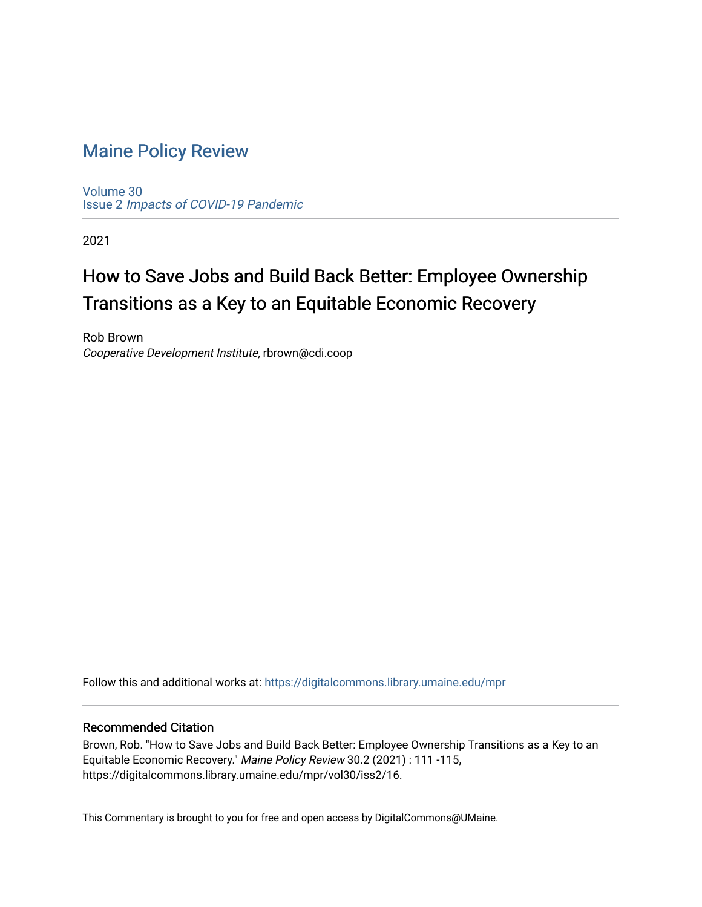# [Maine Policy Review](https://digitalcommons.library.umaine.edu/mpr)

[Volume 30](https://digitalcommons.library.umaine.edu/mpr/vol30) Issue 2 [Impacts of COVID-19 Pandemic](https://digitalcommons.library.umaine.edu/mpr/vol30/iss2)

2021

# How to Save Jobs and Build Back Better: Employee Ownership Transitions as a Key to an Equitable Economic Recovery

Rob Brown Cooperative Development Institute, rbrown@cdi.coop

Follow this and additional works at: [https://digitalcommons.library.umaine.edu/mpr](https://digitalcommons.library.umaine.edu/mpr?utm_source=digitalcommons.library.umaine.edu%2Fmpr%2Fvol30%2Fiss2%2F16&utm_medium=PDF&utm_campaign=PDFCoverPages)

#### Recommended Citation

Brown, Rob. "How to Save Jobs and Build Back Better: Employee Ownership Transitions as a Key to an Equitable Economic Recovery." Maine Policy Review 30.2 (2021) : 111 -115, https://digitalcommons.library.umaine.edu/mpr/vol30/iss2/16.

This Commentary is brought to you for free and open access by DigitalCommons@UMaine.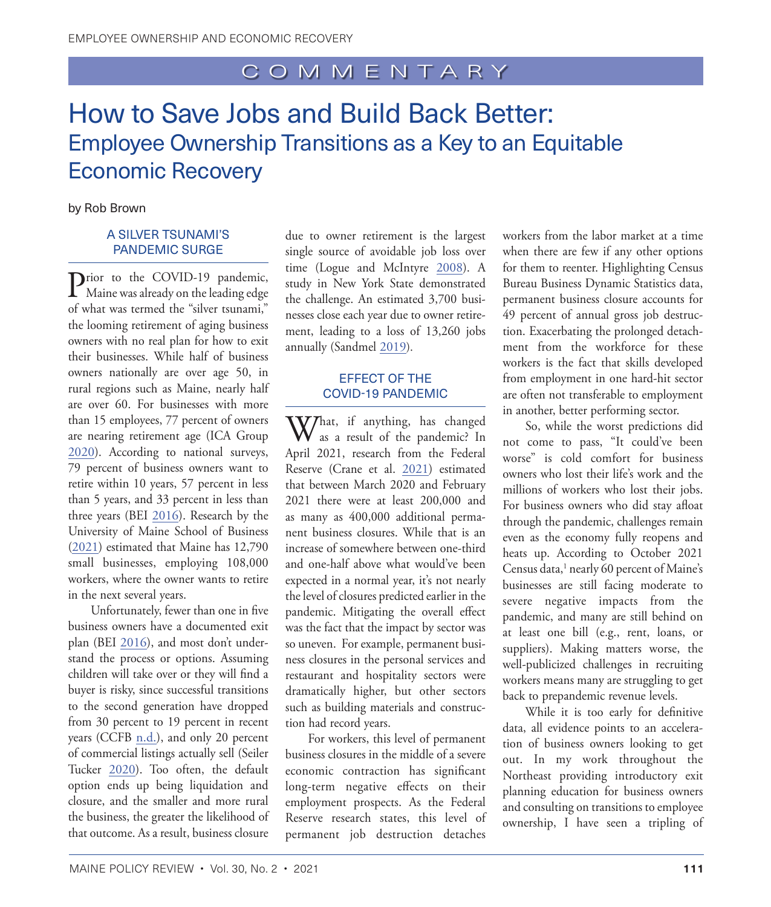# <span id="page-1-0"></span>How to Save Jobs and Build Back Better: Employee Ownership Transitions as a Key to an Equitable Economic Recovery

by Rob Brown

#### A SILVER TSUNAMI'S PANDEMIC SURGE

**P**rior to the COVID-19 pandemic,<br>Maine was already on the leading edge of what was termed the "silver tsunami," the looming retirement of aging business owners with no real plan for how to exit their businesses. While half of business owners nationally are over age 50, in rural regions such as Maine, nearly half are over 60. For businesses with more than 15 employees, 77 percent of owners are nearing retirement age (ICA Group [2020](#page-5-0)). According to national surveys, 79 percent of business owners want to retire within 10 years, 57 percent in less than 5 years, and 33 percent in less than three years (BEI [2016\)](#page-5-1). Research by the University of Maine School of Business [\(2021](#page-5-2)) estimated that Maine has 12,790 small businesses, employing 108,000 workers, where the owner wants to retire in the next several years.

Unfortunately, fewer than one in five business owners have a documented exit plan (BEI [2016](#page-5-1)), and most don't understand the process or options. Assuming children will take over or they will find a buyer is risky, since successful transitions to the second generation have dropped from 30 percent to 19 percent in recent [years](https://www.familybusinesscenter.com/resources/family-business-facts/) (CCFB [n.d.](#page-5-3)), and only 20 percent [of commercial listings actually sell](https://seilertucker.com/why-8-out-of-10-businesses-dont-sell/) (Seiler Tucker [2020](#page-5-4)). Too often, the default option ends up being liquidation and closure, and the smaller and more rural the business, the greater the likelihood of that outcome. As a result, business closure due to owner retirement is the largest single source of avoidable job loss over time (Logue and McIntyre [2008](#page-5-5)). A study in New York State demonstrated the challenge. [An estimated 3,700 busi](https://www.neweconomynyc.org/wp-content/uploads/2019/08/Factsheet.pdf)[nesses close each year due to owner retire](https://www.neweconomynyc.org/wp-content/uploads/2019/08/Factsheet.pdf)[ment, leading to a loss of 13,260 jobs](https://www.neweconomynyc.org/wp-content/uploads/2019/08/Factsheet.pdf)  [annually](https://www.neweconomynyc.org/wp-content/uploads/2019/08/Factsheet.pdf) (Sandmel [2019](#page-5-6)).

#### EFFECT OF THE COVID-19 PANDEMIC

What, if anything, has changed<br>as a result of the pandemic? In April 2021, research from the Federal Reserve (Crane et al. [2021](#page-5-7)) estimated that between March 2020 and February 2021 there were at least 200,000 and as many as 400,000 additional permanent business closures. While that is an increase of somewhere between one-third and one-half above what would've been expected in a normal year, it's not nearly the level of closures predicted earlier in the pandemic. Mitigating the overall effect was the fact that the impact by sector was so uneven. For example, permanent business closures in the personal services and restaurant and hospitality sectors were dramatically higher, but other sectors such as building materials and construction had record years.

For workers, this level of permanent business closures in the middle of a severe economic contraction has significant long-term negative effects on their employment prospects. As the Federal Reserve research states, this level of permanent job destruction detaches

workers from the labor market at a time when there are few if any other options for them to reenter. Highlighting Census Bureau Business Dynamic Statistics data, permanent business closure accounts for 49 percent of annual gross job destruction. Exacerbating the prolonged detachment from the workforce for these workers is the fact that skills developed from employment in one hard-hit sector are often not transferable to employment in another, better performing sector.

So, while the worst predictions did not come to pass, "It could've been worse" is cold comfort for business owners who lost their life's work and the millions of workers who lost their jobs. For business owners who did stay afloat through the pandemic, challenges remain even as the economy fully reopens and heats up. According to October 2021 Census data,<sup>1</sup> nearly 60 percent of Maine's businesses are still facing moderate to severe negative impacts from the pandemic, and many are still behind on at least one bill (e.g., rent, loans, or suppliers). Making matters worse, the well-publicized challenges in recruiting workers means many are struggling to get back to prepandemic revenue levels.

While it is too early for definitive data, all evidence points to an acceleration of business owners looking to get out. In my work throughout the Northeast providing introductory exit planning education for business owners and consulting on transitions to employee ownership, I have seen a tripling of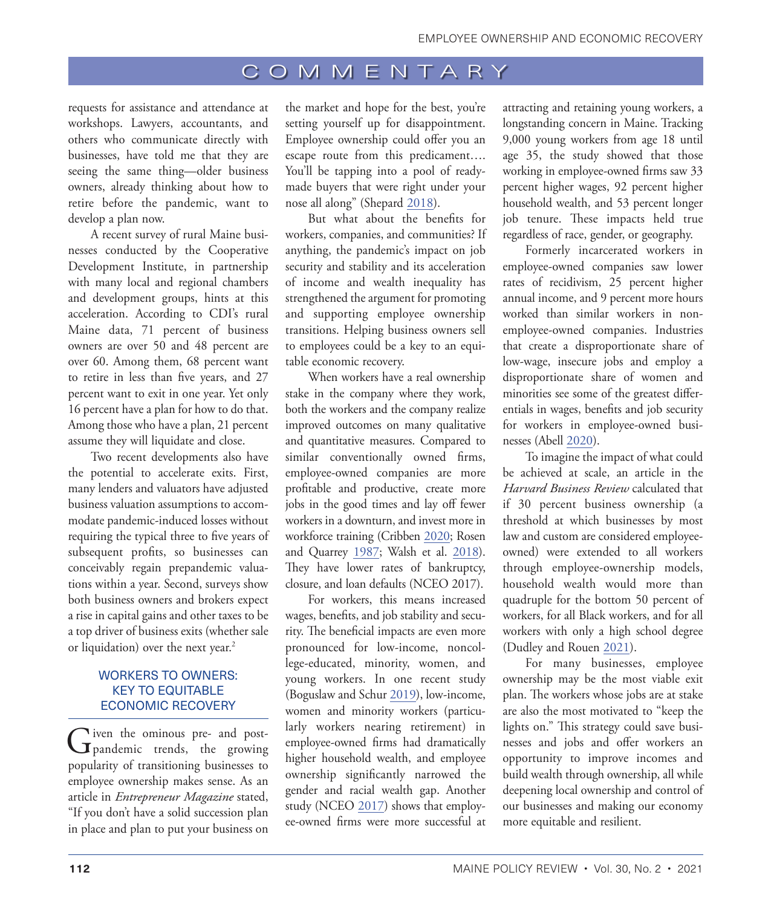<span id="page-2-0"></span>requests for assistance and attendance at workshops. Lawyers, accountants, and others who communicate directly with businesses, have told me that they are seeing the same thing—older business owners, already thinking about how to retire before the pandemic, want to develop a plan now.

A recent survey of rural Maine businesses conducted by the Cooperative Development Institute, in partnership with many local and regional chambers and development groups, hints at this acceleration. According to CDI's rural Maine data, 71 percent of business owners are over 50 and 48 percent are over 60. Among them, 68 percent want to retire in less than five years, and 27 percent want to exit in one year. Yet only 16 percent have a plan for how to do that. Among those who have a plan, 21 percent assume they will liquidate and close.

Two recent developments also have the potential to accelerate exits. First, many lenders and valuators have adjusted business valuation assumptions to accommodate pandemic-induced losses without requiring the typical three to five years of subsequent profits, so businesses can conceivably regain prepandemic valuations within a year. Second, surveys show both business owners and brokers expect a rise in capital gains and other taxes to be a top driver of business exits (whether sale or liquidation) over the next year.<sup>[2](#page-5-8)</sup>

#### WORKERS TO OWNERS: KEY TO EQUITABLE ECONOMIC RECOVERY

Given the ominous pre- and post-<br> **G** pandemic trends, the growing popularity of transitioning businesses to employee ownership makes sense. As [an](https://www.entrepreneur.com/article/308785) [article in](https://www.entrepreneur.com/article/308785) *[Entrepreneur Magazine](https://www.entrepreneur.com/article/308785)* stated, "If you don't have a solid succession plan in place and plan to put your business on

the market and hope for the best, you're setting yourself up for disappointment. Employee ownership could offer you an escape route from this predicament…. You'll be tapping into a pool of readymade buyers that were right under your nose all along" (Shepard [2018\)](#page-5-9).

But what about the benefits for workers, companies, and communities? If anything, the pandemic's impact on job security and stability and its acceleration of income and wealth inequality has strengthened the argument for promoting and supporting employee ownership transitions. Helping business owners sell to employees could be a key to an equitable economic recovery.

When workers have a real ownership stake in the company where they work, both the workers and the company realize improved outcomes on many qualitative and quantitative measures. Compared to similar conventionally owned firms, employee-owned companies are more profitable and productive, create more jobs in the good times and lay off fewer workers in a downturn, and invest more in workforce training (Cribben [2020](#page-5-10); Rosen and Quarrey [1987](#page-5-11); Walsh et al. [2018\)](#page-5-12). They have lower rates of bankruptcy, closure, and loan defaults (NCEO 2017).

For workers, this means increased wages, benefits, and job stability and security. The beneficial impacts are even more pronounced for low-income, noncollege-educated, minority, women, and young workers. In one [r](https://www.ownershipeconomy.org/wp-content/uploads/2017/05/employee_ownership_and_economic_wellbeing_2017.pdf)ecent study (Boguslaw and Schur [2019](#page-5-13)), low-income, women and minority workers (particularly workers nearing retirement) in employee-owned firms had dramatically higher household wealth, and employee ownership significantly narrowed the gender and racial wealth gap. Another study (NCEO [2017\)](#page-5-14) shows that employee-owned firms were more successful at attracting and retaining young workers, a longstanding concern in Maine. Tracking 9,000 young workers from age 18 until age 35, the study showed that those working in employee-owned firms saw 33 percent higher wages, 92 percent higher household wealth, and 53 percent longer job tenure. These impacts held true regardless of race, gender, or geography.

Formerly incarcerated workers in employee-owned companies saw lower rates of recidivism, 25 percent higher annual income, and 9 percent more hours worked than similar workers in nonemployee-owned companies. Industries that create a disproportionate share of low-wage, insecure jobs and employ a disproportionate share of women and minorities see some of the greatest differentials in wages, benefits and job security for workers in employee-owned businesses (Abell [2020\)](#page-5-15).

To imagine the impact of what could be achieved at scale, an article [in the](https://hbr.org/2021/05/the-big-benefits-of-employee-ownership?ab=seriesnav-bigidea) *Harvard Business Review* calculated that if 30 percent business ownership (a threshold at which businesses by most law and custom are considered employeeowned) were extended to all workers through employee-ownership models, household wealth would more than quadruple for the bottom 50 percent of workers, for all Black workers, and for all workers with only a high school degree (Dudley and Rouen [2021\)](#page-5-16).

For many businesses, employee ownership may be the most viable exit plan. The workers whose jobs are at stake are also the most motivated to "keep the lights on." This strategy could save businesses and jobs and offer workers an opportunity to improve incomes and build wealth through ownership, all while deepening local ownership and control of our businesses and making our economy more equitable and resilient.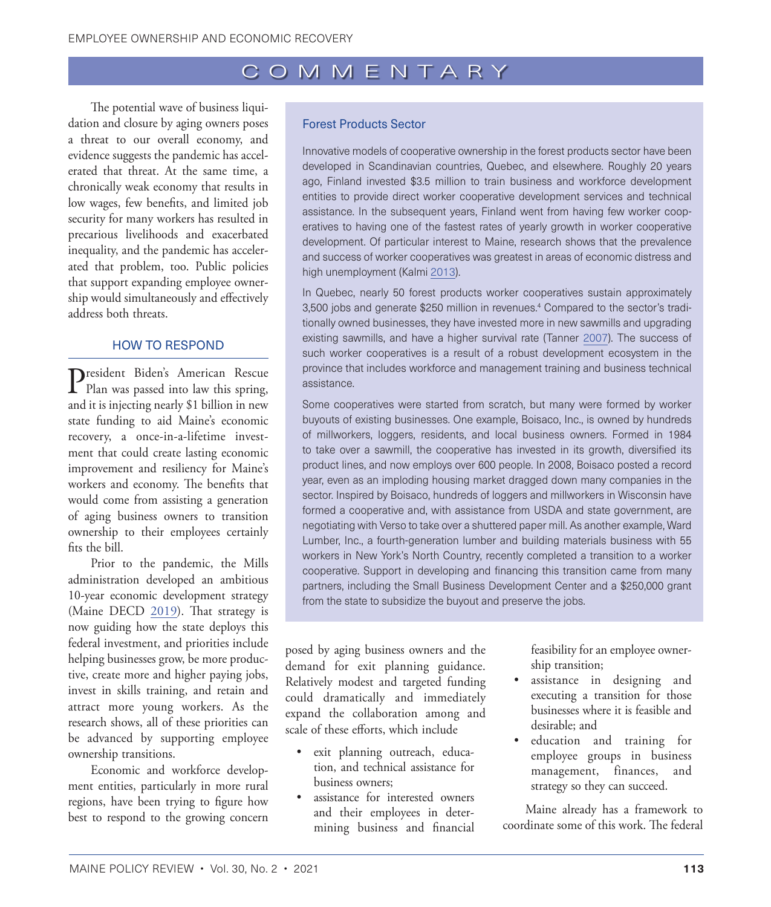<span id="page-3-0"></span>The potential wave of business liquidation and closure by aging owners poses a threat to our overall economy, and evidence suggests the pandemic has accelerated that threat. At the same time, a chronically weak economy that results in low wages, few benefits, and limited job security for many workers has resulted in precarious livelihoods and exacerbated inequality, and the pandemic has accelerated that problem, too. Public policies that support expanding employee ownership would simultaneously and effectively address both threats.

#### HOW TO RESPOND

President Biden's American Rescue Plan was passed into law this spring, and it is injecting nearly \$1 billion in new state funding to aid Maine's economic recovery, a once-in-a-lifetime investment that could create lasting economic improvement and resiliency for Maine's workers and economy. The benefits that would come from assisting a generation of aging business owners to transition ownership to their employees certainly fits the bill.

Prior to the pandemic, the Mills administration developed an ambitious 10-year economic development strategy (Maine DECD [2019\)](#page-5-17). That strategy is now guiding how the state deploys this federal investment, and priorities include helping businesses grow, be more productive, create more and higher paying jobs, invest in skills training, and retain and attract more young workers. As the research shows, all of these priorities can be advanced by supporting employee ownership transitions.

Economic and workforce development entities, particularly in more rural regions, have been trying to figure how best to respond to the growing concern

#### Forest Products Sector

Innovative models of cooperative ownership in the forest products sector have been developed in Scandinavian countries, Quebec, and elsewhere. Roughly 20 years ago, Finland invested \$3.5 million to train business and workforce development entities to provide direct worker cooperative development services and technical assistance. In the subsequent years, Finland went from having few worker cooperatives to having one of the fastest rates of yearly growth in worker cooperative development. Of particular interest to Maine, research shows that the prevalence and success of worker cooperatives was greatest in areas of economic distress and high unemployment (Kalmi [2013](#page-5-18)).

In Quebec, nearly 50 forest products worker cooperatives sustain approximately 3,500 jobs and generate \$250 million in revenues.[4](#page-5-8) Compared to the sector's traditionally owned businesses, they have invested more in new sawmills and upgrading existing sawmills, and have a higher survival rate (Tanner [2007\)](#page-5-19). The success of such worker cooperatives is a result of a robust development ecosystem in the province that includes workforce and management training and business technical assistance.

Some cooperatives were started from scratch, but many were formed by worker buyouts of existing businesses. One example, Boisaco, Inc., is owned by hundreds of millworkers, loggers, residents, and local business owners. Formed in 1984 to take over a sawmill, the cooperative has invested in its growth, diversified its product lines, and now employs over 600 people. In 2008, Boisaco posted a record year, even as an imploding housing market dragged down many companies in the sector. Inspired by Boisaco, hundreds of loggers and millworkers in Wisconsin have formed a cooperative and, with assistance from USDA and state government, are negotiating with Verso to take over a shuttered paper mill. As another example, Ward Lumber, Inc., a fourth-generation lumber and building materials business with 55 workers in New York's North Country, recently completed a transition to a worker cooperative. Support in developing and financing this transition came from many partners, including the Small Business Development Center and a \$250,000 grant from the state to subsidize the buyout and preserve the jobs.

posed by aging business owners and the demand for exit planning guidance. Relatively modest and targeted funding could dramatically and immediately expand the collaboration among and scale of these efforts, which include

- exit planning outreach, education, and technical assistance for business owners;
- assistance for interested owners and their employees in determining business and financial

feasibility for an employee ownership transition;

- assistance in designing and executing a transition for those businesses where it is feasible and desirable; and
- education and training for employee groups in business management, finances, and strategy so they can succeed.

Maine already has a framework to coordinate some of this work. The federal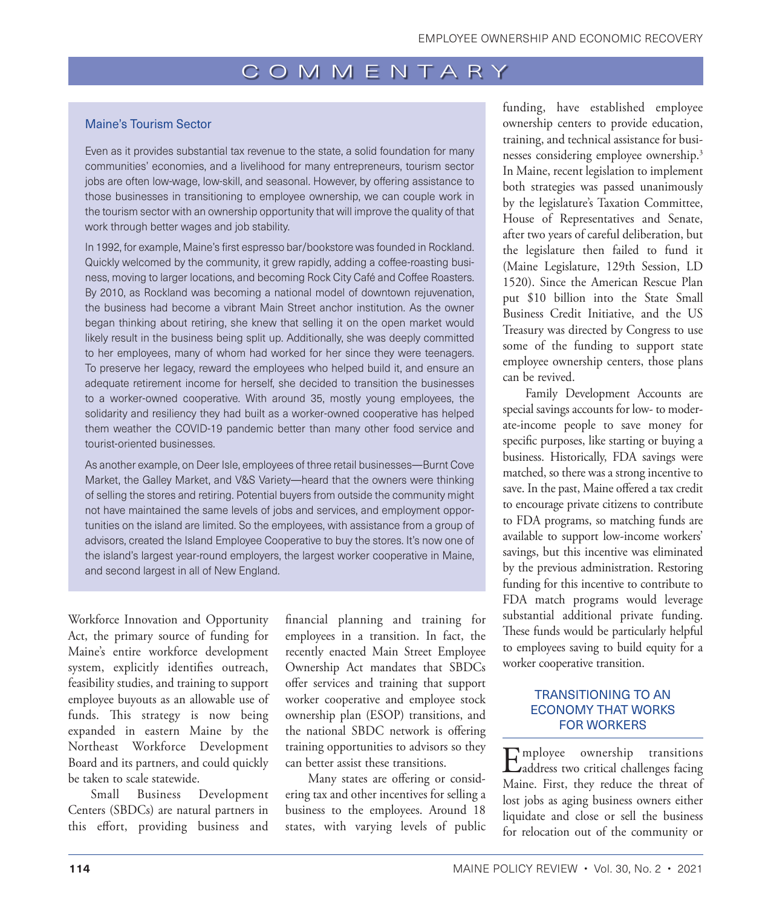#### <span id="page-4-0"></span>Maine's Tourism Sector

Even as it provides substantial tax revenue to the state, a solid foundation for many communities' economies, and a livelihood for many entrepreneurs, tourism sector jobs are often low-wage, low-skill, and seasonal. However, by offering assistance to those businesses in transitioning to employee ownership, we can couple work in the tourism sector with an ownership opportunity that will improve the quality of that work through better wages and job stability.

In 1992, for example, Maine's first espresso bar/bookstore was founded in Rockland. Quickly welcomed by the community, it grew rapidly, adding a coffee-roasting business, moving to larger locations, and becoming Rock City Café and Coffee Roasters. By 2010, as Rockland was becoming a national model of downtown rejuvenation, the business had become a vibrant Main Street anchor institution. As the owner began thinking about retiring, she knew that selling it on the open market would likely result in the business being split up. Additionally, she was deeply committed to her employees, many of whom had worked for her since they were teenagers. To preserve her legacy, reward the employees who helped build it, and ensure an adequate retirement income for herself, she decided to transition the businesses to a worker-owned cooperative. With around 35, mostly young employees, the solidarity and resiliency they had built as a worker-owned cooperative has helped them weather the COVID-19 pandemic better than many other food service and tourist-oriented businesses.

As another example, on Deer Isle, employees of three retail businesses—Burnt Cove Market, the Galley Market, and V&S Variety—heard that the owners were thinking of selling the stores and retiring. Potential buyers from outside the community might not have maintained the same levels of jobs and services, and employment opportunities on the island are limited. So the employees, with assistance from a group of advisors, created the Island Employee Cooperative to buy the stores. It's now one of the island's largest year-round employers, the largest worker cooperative in Maine, and second largest in all of New England.

Workforce Innovation and Opportunity Act, the primary source of funding for Maine's entire workforce development system, explicitly identifies outreach, feasibility studies, and training to support employee buyouts as an allowable use of funds. This strategy is now being expanded in eastern Maine by the Northeast Workforce Development Board and its partners, and could quickly be taken to scale statewide.

Small Business Development Centers (SBDCs) are natural partners in this effort, providing business and

financial planning and training for employees in a transition. In fact, the recently enacted Main Street Employee Ownership Act mandates that SBDCs offer services and training that support worker cooperative and employee stock ownership plan (ESOP) transitions, and the national SBDC network is offering training opportunities to advisors so they can better assist these transitions.

Many states are offering or considering tax and other incentives for selling a business to the employees. Around 18 states, with varying levels of public funding, have established employee ownership centers to provide education, training, and technical assistance for businesses considering employee ownership[.3](#page-5-8) In Maine, recent legislation to implement both strategies was passed unanimously by the legislature's Taxation Committee, House of Representatives and Senate, after two years of careful deliberation, but the legislature then failed to fund it (Maine Legislature, 12[9th Session, LD](http://www.mainelegislature.org/legis/bills/bills_129th/billtexts/SP046902.asp)  [1520\)](http://www.mainelegislature.org/legis/bills/bills_129th/billtexts/SP046902.asp). Since the American Rescue Plan put \$10 billion into the State Small Business Credit Initiative, and the US Treasury was directed by Congress to use some of the funding to support state employee ownership centers, those plans can be revived.

Family Development Accounts are special savings accounts for low- to moderate-income people to save money for specific purposes, like starting or buying a business. Historically, FDA savings were matched, so there was a strong incentive to save. In the past, Maine offered a tax credit to encourage private citizens to contribute to FDA programs, so matching funds are available to support low-income workers' savings, but this incentive was eliminated by the previous administration. Restoring funding for this incentive to contribute to FDA match programs would leverage substantial additional private funding. These funds would be particularly helpful to employees saving to build equity for a worker cooperative transition.

#### TRANSITIONING TO AN ECONOMY THAT WORKS FOR WORKERS

Employee ownership transitions address two critical challenges facing Maine. First, they reduce the threat of lost jobs as aging business owners either liquidate and close or sell the business for relocation out of the community or